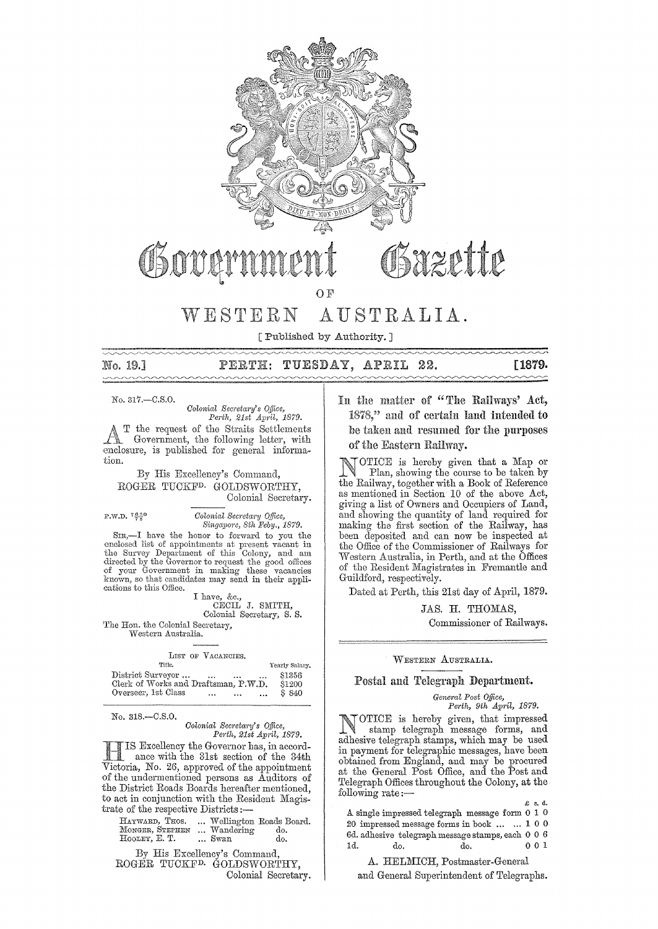

 $O F$ 

### AUSTRALIA. WESTERN

[Published by Authority.]

# PERTH: TUESDAY, APRIL 22.

[1879.

No. 317,-C.S.O.

No. 19.

Colonial Secretary's Office, Perth, 21st April, 1879.

the request of the Straits Settlements Government, the following letter, with enclosure, is published for general information.

OSOUCI

By His Excellency's Command. ROGER TUCKF<sup>D.</sup> GOLDSWORTHY. Colonial Secretary.

P.W.D.  $7\frac{650}{78}$ 

Colonial Secretary Office,<br>Singapore, 8th Feby., 1879.

SIR,-I have the honor to forward to you the enclosed list of appointments at present vacant in the Survey Department of this Colony, and am<br>directed by the Governor to request the good offices<br>of your Government in making these vacancies<br>known, so that candidates may send in their applications to this Office.

I have, &c.,<br>CECIL J. SMITH, Colonial Secretary, S. S.

The Hon. the Colonial Secretary, Western Australia.

| LIST OF VACANCIES.                                          |                |
|-------------------------------------------------------------|----------------|
| Title.                                                      | Yearly Salary. |
| District Surveyor<br>$\cdots$<br>$\ddotsc$                  | \$1356         |
| Clerk of Works and Draftsman, P.W.D.                        | \$1200         |
| Overseer, 1st Class<br>$\cdots$<br>$\mathbf{r}$<br>$\cdots$ | \$840          |

No. 318.-C.S.O.

Colonial Secretary's Office,<br>Perth, 21st April, 1879.

IS Excellency the Governor has, in accordance with the 31st section of the 34th Victoria, No. 26, approved of the appointment of the undermentioned persons as Auditors of the District Roads Boards hereafter mentioned, to act in conjunction with the Resident Magistrate of the respective Districts:

HATWARD, THOS. ... Wellington Roads Board.<br>MONGER, STEFHEN ... Wandering do.<br>HOOLEY, E. T. ... Swan do.

By His Excellency's Command. ROGER TUCKF<sup>D.</sup> GOLDSWORTHY. Colonial Secretary.

# In the matter of "The Railways' Act, 1878," and of certain land intended to be taken and resumed for the purposes of the Eastern Railway.

Osazette

OTICE is hereby given that a Map or Plan, showing the course to be taken by the Railway, together with a Book of Reference<br>as mentioned in Section 10 of the above Act, giving a list of Owners and Occupiers of Land, and showing the quantity of land required for making the first section of the Railway, has been deposited and can now be inspected at the Office of the Commissioner of Railways for Western Australia, in Perth, and at the Offices of the Resident Magistrates in Fremantle and Guildford, respectively.

Dated at Perth, this 21st day of April, 1879.

JAS. H. THOMAS,

Commissioner of Railways.

### WESTERN AUSTRALIA.

### Postal and Telegraph Department.

General Post Office, Perth, 9th April, 1879.

OTICE is hereby given, that impressed<br>stamp telegraph message forms, and adhesive telegraph stamps, which may be used in payment for telegraphic messages, have been obtained from England, and may be procured<br>at the General Post Office, and the Post and Telegraph Offices throughout the Colony, at the following rate:-

A single impressed telegraph message form 0 1 0 20 impressed message forms in book ... ... 1 0 0 6d. adhesiye telegraph message stamps, each  $\,$  0  $\,$  0  $\,$  6  $\,$ 1d. do. do.  $001$ 

A. HELMICH, Postmaster-General and General Superintendent of Telegraphs.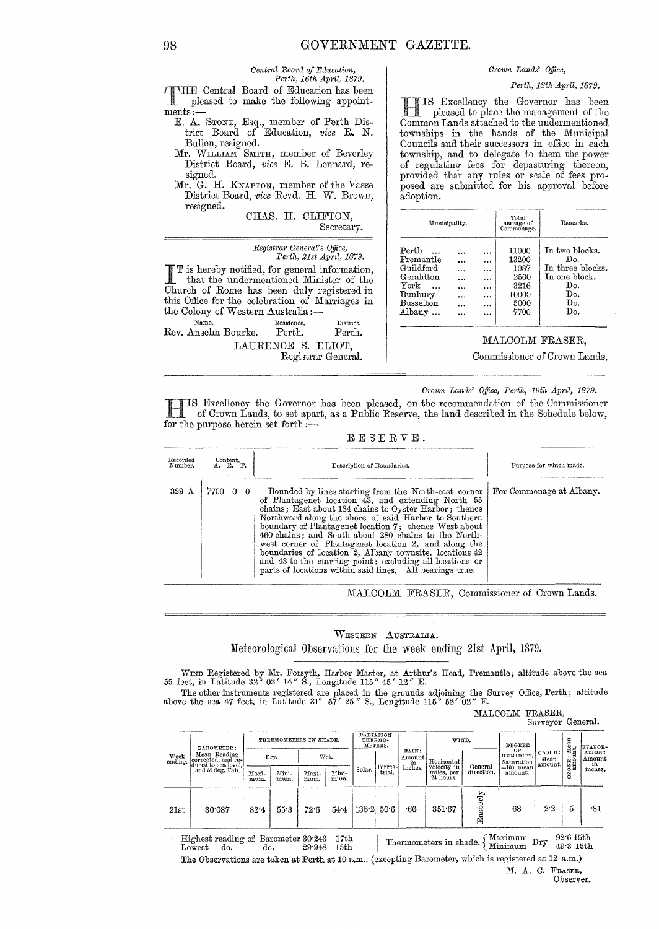### *Crown Lands' Office,*

*Pe1·th, 16th Ap1'il, 1879. Perth, 18th April, 1879.*<br> **Perth, 18th April, 1879.**<br> **Perth, 18th April, 1879.**<br> **Perth, 18th April, 1879.**<br> **Perth, 18th April, 1879.** pleased to make the following appointments:

- E. A. Srone, Esq., member of Perth District Board of Education, *vice* R. N. Bullen, resigned.
- Mr. WILLIAM SMITH, member of Beverley District Board, *vice* E. B. Lennard, resigned.
- Mr. G. H. KNAPTON, member of the Vasse District Board, *vice* Revd. H. \V. Brown, resigned.

CHAS, H. CLIFTON, Secretary.

*Central Board of Education,* 

|                                                                                                                                                                                                                                                  | Registrar General's Office, | Perth, 21st April, 1879. |
|--------------------------------------------------------------------------------------------------------------------------------------------------------------------------------------------------------------------------------------------------|-----------------------------|--------------------------|
| <b>TT</b> is hereby notified, for general information,<br><b>I</b> that the undermentioned Minister of the<br>Church of Rome has been duly registered in<br>this Office for the celebration of Marriages in<br>the Colony of Western Australia:- |                             |                          |
| Name.                                                                                                                                                                                                                                            | Residence.                  | District.                |
| Rev. Anselm Bourke. Perth.                                                                                                                                                                                                                       |                             | Perth.                   |
|                                                                                                                                                                                                                                                  | LAURENCE S. ELIOT,          | Registrar General.       |

IS Excellency the Governor has been pleased to place the management of the Common Lands attached to the undermentioned townships in the hands of the Municipal Councils and their successors in office in each township, and to delegate to them the power of regulating fees for depasturing thereon, provided that any rules or scale of fees proposed are submitted for his approval before adoption.

| Municipality.                                                                          |       |                                            | Total<br>acreage of<br>Commonage.                               | Remarks.                                                                               |
|----------------------------------------------------------------------------------------|-------|--------------------------------------------|-----------------------------------------------------------------|----------------------------------------------------------------------------------------|
| Perth<br>Fremantle<br>Guildford<br>Geraldton<br>York<br>Bunbury<br>Busselton<br>Albany | .<br> | .<br><br>$\ddotsc$<br>$\cdots$<br><br><br> | 11000<br>13200<br>1087<br>2500<br>3216<br>10000<br>5000<br>7700 | In two blocks.<br>Do.<br>In three blocks.<br>In one block.<br>Do.<br>Do.<br>Do.<br>Do. |

### MALCOLM FRASER,

Commissioner of Crown Lands.

*Crown Lands' Office, Perth, 19th April, 1879.* 

HIS Excellency the Governor has been pleased, on the recommendation of the Commissioner of Crown Lands, to set apart, as a Public Reserve, the land described in the Schedule below, for the purpose herein set forth:-

RESERVE.

| Recorded<br>Number. | $\overset{\text{Content.}}{\Lambda}$ . P. | Description of Boundaries.                                                                                                                                                                                                                                                                                                                                                                                                                                                                                                                                                               | Purpose for which made.  |  |  |
|---------------------|-------------------------------------------|------------------------------------------------------------------------------------------------------------------------------------------------------------------------------------------------------------------------------------------------------------------------------------------------------------------------------------------------------------------------------------------------------------------------------------------------------------------------------------------------------------------------------------------------------------------------------------------|--------------------------|--|--|
| 329 A               | 7700 0 0                                  | Bounded by lines starting from the North-east corner<br>of Plantagenet location 43, and extending North 55<br>chains; East about 184 chains to Oyster Harbor; thence<br>Northward along the shore of said Harbor to Southern<br>boundary of Plantagenet location 7; thence West about<br>460 chains; and South about 280 chains to the North-<br>west corner of Plantagenet location 2, and along the<br>boundaries of location 2, Albany townsite, locations 42<br>and 43 to the starting point; excluding all locations or<br>parts of locations within said lines. All bearings true. | For Commonage at Albany. |  |  |

MALCOLM FRASER, Commissioner of Crown Lands.

WESTERN AUSTRALIA. Meteorological Observations for the week ending 21st April, 1879.

WIND Registered by Mr. Forsyth, Harbor Master, at Arthur's Head, Fremantle; altitude above the sea 55 feet, in Latitude 32° 02' 14" S., Longitude 115° 45' 12" E.

The other instruments registered are placed in the grounds adjoining the Survey Office, Perth; altitude above the sea 47 feet, in Latitude 31° 57' 25" S., Longitude 115° 52' 02" E.

MALCOLM FRASER, Smveyor General.

| Week<br>ending. | BAROMETER:                                                |               | RADIATION<br>THERMOMETERS IN SHADE.<br>THERMO-<br>METERS. | WIND.         |               | DEGREE |                   | ${\rm Mean}$ nt.      | EVAPOR-                   |                       |                               |                           |              |                                                |
|-----------------|-----------------------------------------------------------|---------------|-----------------------------------------------------------|---------------|---------------|--------|-------------------|-----------------------|---------------------------|-----------------------|-------------------------------|---------------------------|--------------|------------------------------------------------|
|                 | Mean Reading<br>corrected, and re-<br>duced to sea level, |               | Dry.                                                      |               | Wet.          |        |                   | RAIN:<br>Amount<br>in | Horizontal<br>velocity in |                       | OF<br>HUMIDITY,<br>Saturation | CLOUD:<br>Mean<br>amount. | ≓… ک<br>ONE: | ATION:<br>Amount<br>$\frac{2}{\text{inches.}}$ |
|                 | and 32 deg. Fah.                                          | Maxi-<br>mum. | Mini-<br>mum.                                             | Maxi-<br>mum. | Mini-<br>mum. | Solar. | Terres-<br>trial. | inches.               | miles, per<br>24 hours.   | General<br>direction. | $=100$ : mean<br>amount.      |                           | S            |                                                |
| 21st            | 30.087                                                    | 82.4          | 55.3                                                      | 72.6          | 54.4          | 138.2  | 50.6              | $-66$                 | 351.67                    | Easterly              | 68                            | 2.2                       | 5            | -81                                            |

 $\begin{tabular}{ll} Highest reading of Barometer 30^{\circ}243 & 17th \\ Lowest & do. & 29^{\circ}948 & 15th \end{tabular}$  $\begin{array}{cc}\n\text{Higher reading of Baroneter 30:243} & 17\text{th} \\
\text{Lowerstando.} & 29:948 & 15\text{th} \\
\end{array} \quad \begin{array}{c}\n\text{Thermometers in shade.} \\
\text{Minimum} & \text{Dry} \\
\end{array} \quad \begin{array}{c}\n92\cdot6\text{ 15th} \\
49:3\text{ 15th} \\
\end{array}$ The Observations are taken at Perth at 10 a.m., (excepting Barometer, which is registered at 12 a.m.)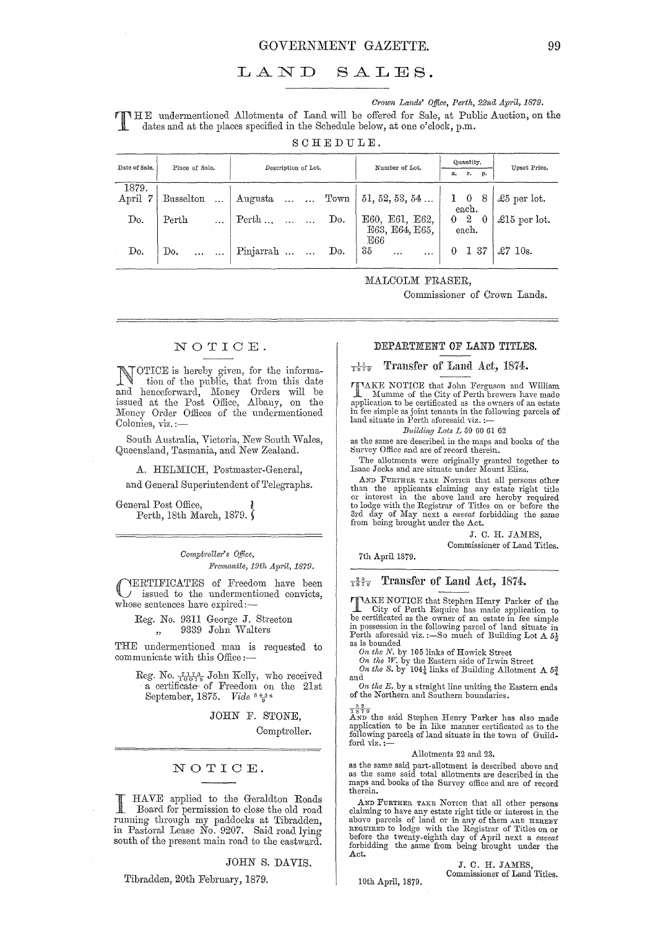#### LAND  $SALES.$

Crown Lands' Office, Perth, 22nd April, 1879.

TILE undermentioned Allotments of Land will be offered for Sale, at Public Auction, on the dates and at the places specified in the Net July 1979. dates and at the places specified in the Schedule below, at one o'clock, p.m.

SCHEDULE.

| Date of Sale.      | Place of Sale.     | Description of Lot.                           | Number of Lot.                     | Quantity.<br>а.<br>r. p.        | Upset Price.         |
|--------------------|--------------------|-----------------------------------------------|------------------------------------|---------------------------------|----------------------|
| 1879.<br>April $7$ | Busselton          | $\vert$ Augusta   Town $\vert$ 51, 52, 53, 54 |                                    | $1 \quad 0 \quad 8$<br>each.    | $\pounds 5$ per lot. |
| Do.                | Perth<br>$\ddotsc$ | Do.<br>Perth                                  | E60, E61, E62,<br>E63, E64, E65.   | $0\quad 2$<br>$\sim 0$<br>each. | £15 per lot.         |
| Do.                | Do.                | Pinjarrah   Do.                               | E66<br>35<br>$\ddotsc$<br>$\cdots$ | 137<br>$\theta$                 | $\pounds 7$ 10s.     |

MALCOLM FRASER,

Commissioner of Crown Lands.

# NOTICE.

TOTICE is hereby given, for the information of the public, that from this date and henceforward, Money Orders will be issued at the Post Office, Albany, on the Money Order Offices of the undermentioned Colonies, viz. :-

South Australia, Victoria, New South Wales, Queensland, Tasmania, and New Zealand.

A. HELMICH, Postmaster-General,

and General Superintendent of Telegraphs.

General Post Office, Perth, 18th March, 1879.

> Comptroller's Office, Fremantle, 19th April, 1879.

YERTIFICATES of Freedom have been issued to the undermentioned convicts, whose sentences have expired:-

Reg. No. 9311 George J. Streeton 9339 John Walters  $,$ 

THE undermentioned man is requested to communicate with this Office:-

Reg. No.  $\frac{7.17.3}{10078}$  John Kelly, who received<br>a certificate of Freedom on the 21st September, 1875. Vide 8434

JOHN F. STONE,

Comptroller.

## NOTICE.

HAVE applied to the Geraldton Roads<br>Board for permission to close the old road running through my paddocks at Tibradden, in Pastoral Lease No. 9207. Said road lying<br>south of the present main road to the eastward.

JOHN S. DAVIS.

### Tibradden, 20th February, 1879.

### DEPARTMENT OF LAND TITLES.

#### Transfer of Land Act, 1874.  $\frac{1}{1879}$

**TIMAKE NOTICE** that John Ferguson and William<br>Mumme of the City of Perth brewers have made<br>application to be certificated as the owners of an estate in fee simple as joint tenants in the following parcels of land situate in Perth aforesaid viz. :

### Building Lots L 59 60 61 62

as the same are described in the maps and books of the Survey Office and are of record therein.

The allotments were originally granted together to Isaac Jecks and are situate under Mount Eliza.

AND FURTHER TAKE NOTICE that all persons other That the applicants claiming any estate right title<br>or interest in the above land are hereby required<br>to lodge with the Registrar of Titles on or before the<br>3rd day of May next a *caveat* forbidding the same<br>from being bro

### J. C. H. JAMES

Commissioner of Land Titles.

7th April 1879.

# $\frac{24}{1579}$  Transfer of Land Act, 1874.

**TIMER NOTICE** that Stephen Henry Parker of the Le City of Perth Esquire has made application to<br>be certificated as the owner of an estate in fee simple in possession in the following parcel of land situate in<br>Perth aforesaid viz.:-So much of Building Lot  $\Lambda$   $\delta_{\frac{1}{2}}$ as is bounded

on the N. by 105 links of Howick Street<br>On the W. by the Eastern side of Irwin Street<br>On the S. by 104 $\frac{1}{4}$  links of Building Allotment A  $5\frac{3}{4}$ and

On the E. by a straight line uniting the Eastern ends of the Northern and Southern boundaries.

 $\frac{3^2}{1579}$  the said Stephen Henry Parker has also made application to be in like manner certificated as to the following parcels of land situate in the town of Guildford viz.

### Allotments 22 and 23.

as the same said part-allotment is described above and as the same said total allotments are described in the maps and books of the Survey office and are of record therein.

AND FURTHER TAKE NOTICE that all other persons claiming to have any estate right title or interest in the claiming to have any estate ingit them are therest in the<br>above parcels of land or in any of them are HERBY<br>required to lodge with the Registrar of Titles on or<br>before the twenty-eighth day of April next a *caveat*<br>forbidd Act.

> J. C. H. JAMES Commissioner of Land Titles.

10th April, 1879.